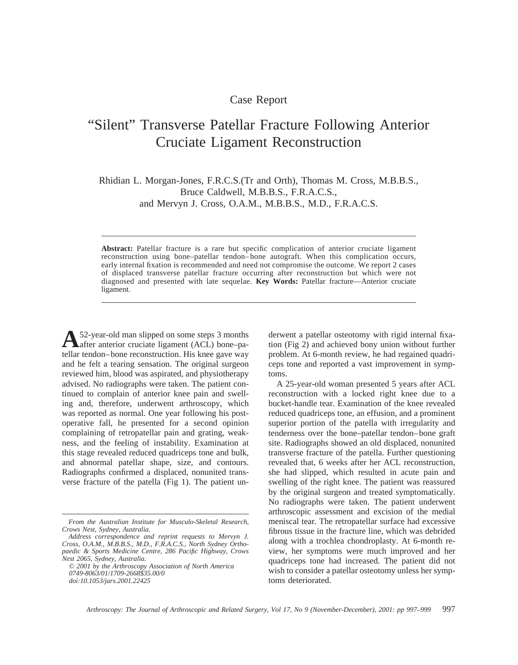## Case Report

## "Silent" Transverse Patellar Fracture Following Anterior Cruciate Ligament Reconstruction

Rhidian L. Morgan-Jones, F.R.C.S.(Tr and Orth), Thomas M. Cross, M.B.B.S., Bruce Caldwell, M.B.B.S., F.R.A.C.S., and Mervyn J. Cross, O.A.M., M.B.B.S., M.D., F.R.A.C.S.

**Abstract:** Patellar fracture is a rare but specific complication of anterior cruciate ligament reconstruction using bone–patellar tendon–bone autograft. When this complication occurs, early internal fixation is recommended and need not compromise the outcome. We report 2 cases of displaced transverse patellar fracture occurring after reconstruction but which were not diagnosed and presented with late sequelae. **Key Words:** Patellar fracture—Anterior cruciate ligament.

A<sup>52</sup>-year-old man slipped on some steps 3 months<br>after anterior cruciate ligament (ACL) bone–patellar tendon–bone reconstruction. His knee gave way and he felt a tearing sensation. The original surgeon reviewed him, blood was aspirated, and physiotherapy advised. No radiographs were taken. The patient continued to complain of anterior knee pain and swelling and, therefore, underwent arthroscopy, which was reported as normal. One year following his postoperative fall, he presented for a second opinion complaining of retropatellar pain and grating, weakness, and the feeling of instability. Examination at this stage revealed reduced quadriceps tone and bulk, and abnormal patellar shape, size, and contours. Radiographs confirmed a displaced, nonunited transverse fracture of the patella (Fig 1). The patient un-

© *2001 by the Arthroscopy Association of North America 0749-8063/01/1709-2668\$35.00/0 doi:10.1053/jars.2001.22425*

derwent a patellar osteotomy with rigid internal fixation (Fig 2) and achieved bony union without further problem. At 6-month review, he had regained quadriceps tone and reported a vast improvement in symptoms.

A 25-year-old woman presented 5 years after ACL reconstruction with a locked right knee due to a bucket-handle tear. Examination of the knee revealed reduced quadriceps tone, an effusion, and a prominent superior portion of the patella with irregularity and tenderness over the bone–patellar tendon–bone graft site. Radiographs showed an old displaced, nonunited transverse fracture of the patella. Further questioning revealed that, 6 weeks after her ACL reconstruction, she had slipped, which resulted in acute pain and swelling of the right knee. The patient was reassured by the original surgeon and treated symptomatically. No radiographs were taken. The patient underwent arthroscopic assessment and excision of the medial meniscal tear. The retropatellar surface had excessive fibrous tissue in the fracture line, which was debrided along with a trochlea chondroplasty. At 6-month review, her symptoms were much improved and her quadriceps tone had increased. The patient did not wish to consider a patellar osteotomy unless her symptoms deteriorated.

*From the Australian Institute for Musculo-Skeletal Research, Crows Nest, Sydney, Australia.*

*Address correspondence and reprint requests to Mervyn J. Cross, O.A.M., M.B.B.S., M.D., F.R.A.C.S., North Sydney Orthopaedic & Sports Medicine Centre, 286 Pacific Highway, Crows Nest 2065, Sydney, Australia.*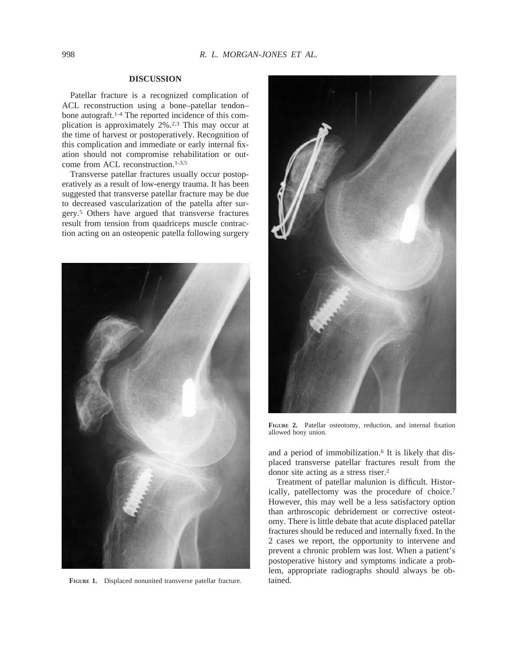## **DISCUSSION**

Patellar fracture is a recognized complication of ACL reconstruction using a bone–patellar tendon– bone autograft.1-4 The reported incidence of this complication is approximately 2%.2,3 This may occur at the time of harvest or postoperatively. Recognition of this complication and immediate or early internal fixation should not compromise rehabilitation or outcome from ACL reconstruction.1-3,5

Transverse patellar fractures usually occur postoperatively as a result of low-energy trauma. It has been suggested that transverse patellar fracture may be due to decreased vascularization of the patella after surgery.5 Others have argued that transverse fractures result from tension from quadriceps muscle contraction acting on an osteopenic patella following surgery



**FIGURE 1.** Displaced nonunited transverse patellar fracture. tained.



**FIGURE 2.** Patellar osteotomy, reduction, and internal fixation allowed bony union.

and a period of immobilization.<sup>6</sup> It is likely that displaced transverse patellar fractures result from the donor site acting as a stress riser.2

Treatment of patellar malunion is difficult. Historically, patellectomy was the procedure of choice.7 However, this may well be a less satisfactory option than arthroscopic debridement or corrective osteotomy. There is little debate that acute displaced patellar fractures should be reduced and internally fixed. In the 2 cases we report, the opportunity to intervene and prevent a chronic problem was lost. When a patient's postoperative history and symptoms indicate a problem, appropriate radiographs should always be ob-